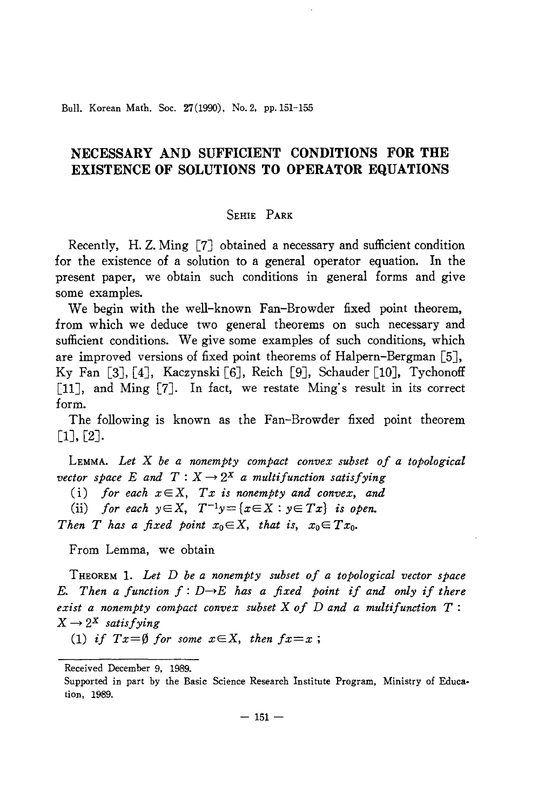Bull. Korean Math. Soc. 27(1990), No. 2, pp. 151-155

## **NECESSARY AND SUFFICIENT CONDITIONS FOR THE EXISTENCE OF SOLUTIONS TO OPERATOR EQUATIONS**

## SEHIE PARK

Recently, H. Z. Ming [7J obtained a necessary and sufficient condition for the existence of a solution to a general operator equation. In the present paper, we obtain such conditions in general forms and give some examples.

We begin with the well-known Fan-Browder fixed point theorem, from which we deduce two general theorems on such necessary and sufficient conditions. We give some examples of such conditions, which are improved versions of fixed point theorems of Halpern-Bergman [5J, Ky Fan [3J, [4J, Kaczynski [6J, Reich [9J, Schauder [10J, Tychonoff [11], and Ming [7]. In fact, we restate Ming's result in its correct form.

The following is known as the Fan-Browder fixed point theorem  $[1], [2].$ 

LEMMA. *Let* X *be a nonempty compact convex subset of a topological vector space* E and  $T: X \rightarrow 2^X$  *a multifunction satisfying* 

(i) *for each*  $x \in X$ ,  $Tx$  *is nonempty and convex*, *and* 

(ii) *for each*  $y \in X$ ,  $T^{-1}y = \{x \in X : y \in Tx\}$  *is open.* 

*Then T* has a fixed point  $x_0 \in X$ , that is,  $x_0 \in Tx_0$ .

From Lemma, we obtain

THEOREM 1. *Let* D *be a nonempty subset of a topological vector space* E. Then a function  $f: D \to E$  has a fixed point if and only if there *exist a nonempty compact convex subset* X *of* D *and a multifunction T :*  $X \rightarrow 2^X$  *satisfying* 

(1) *if*  $Tx = \emptyset$  *for some*  $x \in X$ , *then*  $fx = x$ ;

Received December 9, 1989.

Supported in part by the Basic Science Research Institute Program, Ministry of Education, 1989.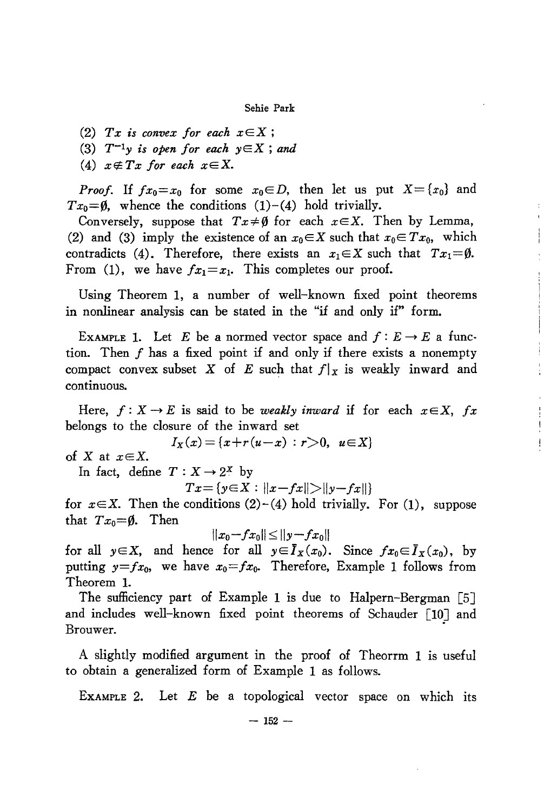Sehie Park

*(2) Tx is convex for each xEX ;*

*(3) T-Iy is open for each* yEX ; *and*

 $(4)$   $x \notin Tx$  *for each*  $x \in X$ .

*Proof.* If  $fx_0=x_0$  for some  $x_0 \in D$ , then let us put  $X = \{x_0\}$  and  $Tx_0=0$ , whence the conditions  $(1)-(4)$  hold trivially.

Conversely, suppose that  $Tx \neq \emptyset$  for each  $x \in X$ . Then by Lemma, (2) and (3) imply the existence of an  $x_0 \in X$  such that  $x_0 \in Tx_0$ , which contradicts (4). Therefore, there exists an  $x_1 \in X$  such that  $Tx_1 = \emptyset$ . From (1), we have  $fx_1=x_1$ . This completes our proof.

Using Theorem 1, a number of well-known fixed point theorems in nonlinear analysis can be stated in the "if and only if" form.

EXAMPLE 1. Let *E* be a normed vector space and  $f: E \to E$  a function. Then  $f$  has a fixed point if and only if there exists a nonempty compact convex subset X of E such that  $f|_X$  is weakly inward and continuous.

Here,  $f: X \to E$  is said to be *weakly inward* if for each  $x \in X$ , fx belongs to the closure of the inward set

$$
I_X(x) = \{x + r(u-x) : r > 0, u \in X\}
$$

of X at  $x \in X$ .

In fact, define  $T : X \rightarrow 2^X$  by

 $Tx = \{y \in X : ||x - fx|| > ||y - fx||\}$ 

for  $x \in X$ . Then the conditions (2)-(4) hold trivially. For (1), suppose that  $Tx_0 = \emptyset$ . Then

 $||x_0 - fx_0|| \le ||y - fx_0||$ 

for all  $y \in X$ , and hence for all  $y \in \overline{I}_X(x_0)$ . Since  $fx_0 \in \overline{I}_X(x_0)$ , by putting  $y=fx_0$ , we have  $x_0=fx_0$ . Therefore, Example 1 follows from Theorem 1.

The sufficiency part of Example 1 is due to Halpern-Bergman [5J and includes well-known fixed point theorems of Schauder [10] and Brouwer. .

A slightly modified argument in the proof of Theorrm 1 is useful to obtain a generalized form of Example 1 as follows.

EXAMPLE 2. Let  $E$  be a topological vector space on which its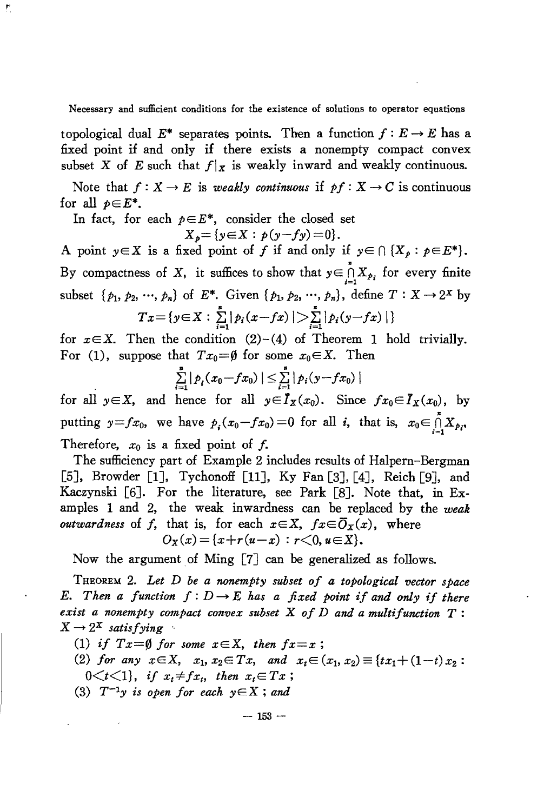Necessary and sufficient conditions for the existence of solutions to operator equations

topological dual  $E^*$  separates points. Then a function  $f: E \to E$  has a fixed point if and only if there exists a nonempty compact convex subset X of E such that  $f(x)$  is weakly inward and weakly continuous.

Note that  $f: X \to E$  is *weakly continuous* if  $pf: X \to C$  is continuous for all  $p \in E^*$ .

In fact, for each  $p \in E^*$ , consider the closed set

ŗ,

$$
X_p = \{ y \in X : p(y - fy) = 0 \}.
$$

A point  $y \in X$  is a fixed point of *f* if and only if  $y \in \bigcap \{X_p : p \in E^*\}$ .<br>By compactness of *X*, it suffices to show that  $y \in \bigcap_{i=1}^n X_{p_i}$  for every finite subset  $\{p_1, p_2, ..., p_n\}$  of  $E^*$ . Given  $\{p_1, p_2, ..., p_n\}$ , define  $T : X \to 2^X$  by  $Tx = \{y \in X : \sum_{i=1}^n |p_i(x - fx)| > \sum_{i=1}^n |p_i(y - fx)|\}$ 

for  $x \in X$ . Then the condition  $(2)-(4)$  of Theorem 1 hold trivially. For (1), suppose that  $Tx_0 = \emptyset$  for some  $x_0 \in X$ . Then

$$
\sum_{i=1}^n |p_i(x_0 - fx_0)| \leq \sum_{i=1}^n |p_i(y - fx_0)|
$$

for all  $y \in X$ , and hence for all  $y \in I_X(x_0)$ . Since  $fx_0 \in I_X(x_0)$ , by putting  $y=fx_0$ , we have  $p_i(x_0-fx_0)=0$  for all *i*, that is,  $x_0 \in \prod_{i=1}^{n} X_{p_i}$ . Therefore,  $x_0$  is a fixed point of  $f$ .

The sufficiency part of Example 2 includes results of Halpern-Bergman [5], Browder [1], Tychonoff [11], Ky Fan [3], [4], Reich [9], and Kaczynski [6J. For the literature, see Park [8J. Note that, in Examples 1 and 2, the weak inwardness can be replaced by the *weak outwardness* of *f*, that is, for each  $x \in X$ ,  $fx \in \overline{O}_X(x)$ , where  $O_X(x) = \{x + r(u-x) : r < 0, u \in X\}.$ 

Now the argument of Ming  $[7]$  can be generalized as follows.

THEOREM 2. *Let* D *be a nonempty subset of a topological vector space E.* Then a function  $f: D \to E$  has a fixed point if and only if there *exist a nonempty compact convex subset* X *of* D *and a multifunction T:*  $X \rightarrow 2^X$  *satisfying* 

*(1) if Tx=0 for some xEX, then fx=x ;*

- (2) *for any*  $x \in X$ ,  $x_1, x_2 \in Tx$ , *and*  $x_t \in (x_1, x_2) \equiv \{tx_1+(1-t)x_2:$  $0 \lt t \lt 1$ , *if*  $x_t \neq fx_t$ , then  $x_t \in Tx$ ;
- *(3) T-ly is open for each* yEX ; *and*

 $-153-$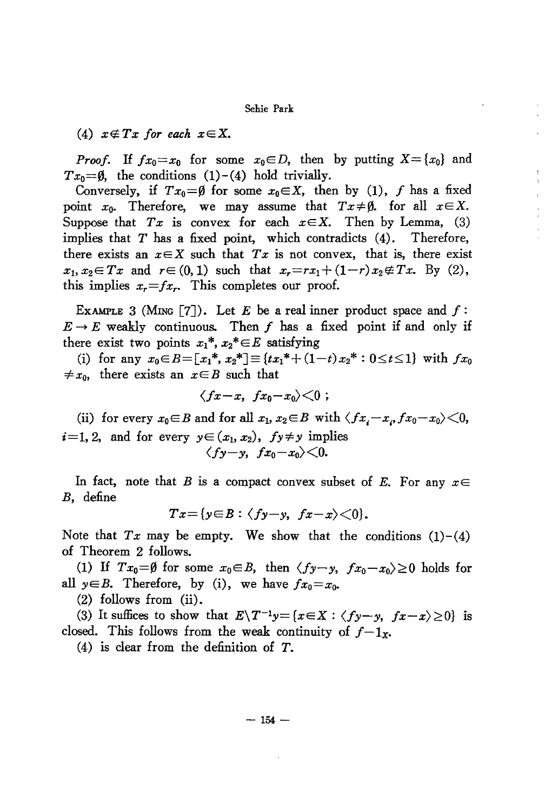## Sehie Park

(4)  $x \notin Tx$  for each  $x \in X$ .

*Proof.* If  $fx_0=x_0$  for some  $x_0\in D$ , then by putting  $X=\{x_0\}$  and  $Tx_0 = \emptyset$ , the conditions (1)-(4) hold trivially.

Conversely, if  $Tx_0 = \emptyset$  for some  $x_0 \in X$ , then by (1), f has a fixed point  $x_0$ . Therefore, we may assume that  $Tx \neq \emptyset$ , for all  $x \in X$ . Suppose that  $Tx$  is convex for each  $x \in X$ . Then by Lemma, (3) implies that  $T$  has a fixed point, which contradicts  $(4)$ . Therefore, there exists an  $x \in X$  such that  $Tx$  is not convex, that is, there exist  $x_1, x_2 \in Tx$  and  $r \in (0, 1)$  such that  $x_r = rx_1 + (1-r)x_2 \notin Tx$ . By (2), this implies  $x_r = fx_r$ . This completes our proof.

EXAMPLE 3 (MING [7]). Let E be a real inner product space and  $f$ :  $E \rightarrow E$  weakly continuous. Then f has a fixed point if and only if there exist two points  $x_1^*, x_2^* \in E$  satisfying

(i) for any  $x_0 \in B = [x_1^*, x_2^*] \equiv \{tx_1^* + (1-t)x_2^* : 0 \le t \le 1\}$  with  $fx_0$  $\neq x_0$ , there exists an  $x \in B$  such that

$$
\langle fx-x, fx_0-x_0\rangle \langle 0;
$$

(ii) for every  $x_0 \in B$  and for all  $x_1, x_2 \in B$  with  $\langle fx, -x_1, fx_0 - x_0 \rangle \langle 0,$  $i=1, 2$ , and for every  $y \in (x_1, x_2)$ ,  $fy \neq y$  implies  $\langle f y - y, f x_0 - x_0 \rangle \langle 0.$ 

In fact, note that B is a compact convex subset of E. For any  $x \in$ B, define

$$
Tx = \{y \in B : \langle fy - y, fx - x \rangle < 0\}.
$$

Note that  $Tx$  may be empty. We show that the conditions  $(1)-(4)$ of Theorem 2 follows.

(1) If  $Tx_0 = \emptyset$  for some  $x_0 \in B$ , then  $\langle fy-y, fx_0-x_0 \rangle \ge 0$  holds for all  $y \in B$ . Therefore, by (i), we have  $fx_0 = x_0$ .

 $(2)$  follows from  $(ii)$ .

(3) It suffices to show that  $E\setminus T^{-1}y = \{x \in X : \langle fy - y, fx - x \rangle \ge 0\}$  is closed. This follows from the weak continuity of  $f-1_x$ .

 $(4)$  is clear from the definition of T.